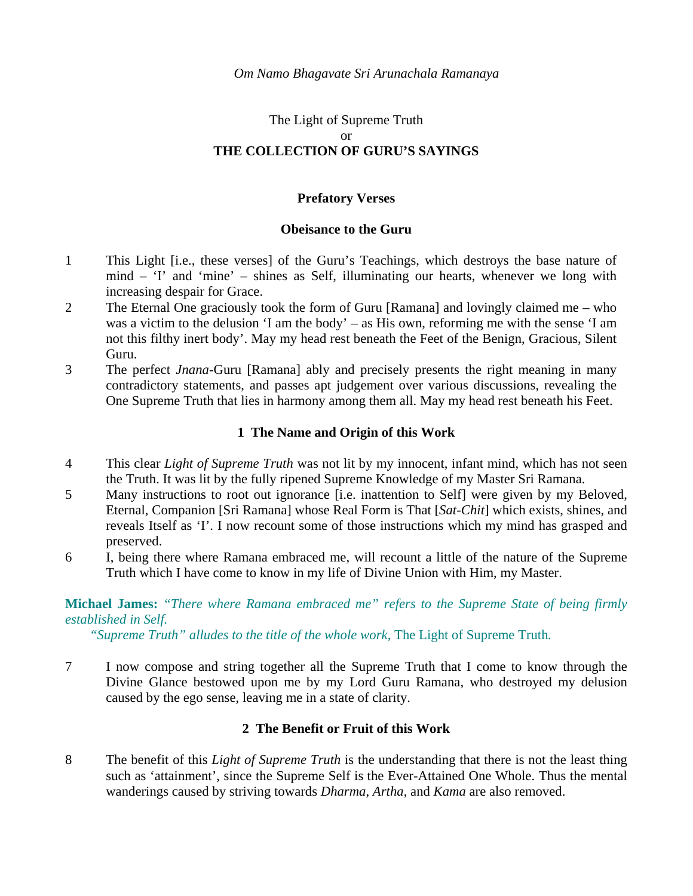# The Light of Supreme Truth or **THE COLLECTION OF GURU'S SAYINGS**

### **Prefatory Verses**

### **Obeisance to the Guru**

- 1 This Light [i.e., these verses] of the Guru's Teachings, which destroys the base nature of mind – 'I' and 'mine' – shines as Self, illuminating our hearts, whenever we long with increasing despair for Grace.
- 2 The Eternal One graciously took the form of Guru [Ramana] and lovingly claimed me who was a victim to the delusion 'I am the body' – as His own, reforming me with the sense 'I am not this filthy inert body'. May my head rest beneath the Feet of the Benign, Gracious, Silent Guru.
- 3 The perfect *Jnana*-Guru [Ramana] ably and precisely presents the right meaning in many contradictory statements, and passes apt judgement over various discussions, revealing the One Supreme Truth that lies in harmony among them all. May my head rest beneath his Feet.

### **1 The Name and Origin of this Work**

- 4 This clear *Light of Supreme Truth* was not lit by my innocent, infant mind, which has not seen the Truth. It was lit by the fully ripened Supreme Knowledge of my Master Sri Ramana.
- 5 Many instructions to root out ignorance [i.e. inattention to Self] were given by my Beloved, Eternal, Companion [Sri Ramana] whose Real Form is That [*Sat-Chit*] which exists, shines, and reveals Itself as 'I'. I now recount some of those instructions which my mind has grasped and preserved.
- 6 I, being there where Ramana embraced me, will recount a little of the nature of the Supreme Truth which I have come to know in my life of Divine Union with Him, my Master.

# **Michael James:** *"There where Ramana embraced me" refers to the Supreme State of being firmly established in Self.*

 *"Supreme Truth" alludes to the title of the whole work,* The Light of Supreme Truth*.* 

7 I now compose and string together all the Supreme Truth that I come to know through the Divine Glance bestowed upon me by my Lord Guru Ramana, who destroyed my delusion caused by the ego sense, leaving me in a state of clarity.

### **2 The Benefit or Fruit of this Work**

8 The benefit of this *Light of Supreme Truth* is the understanding that there is not the least thing such as 'attainment', since the Supreme Self is the Ever-Attained One Whole. Thus the mental wanderings caused by striving towards *Dharma*, *Artha*, and *Kama* are also removed.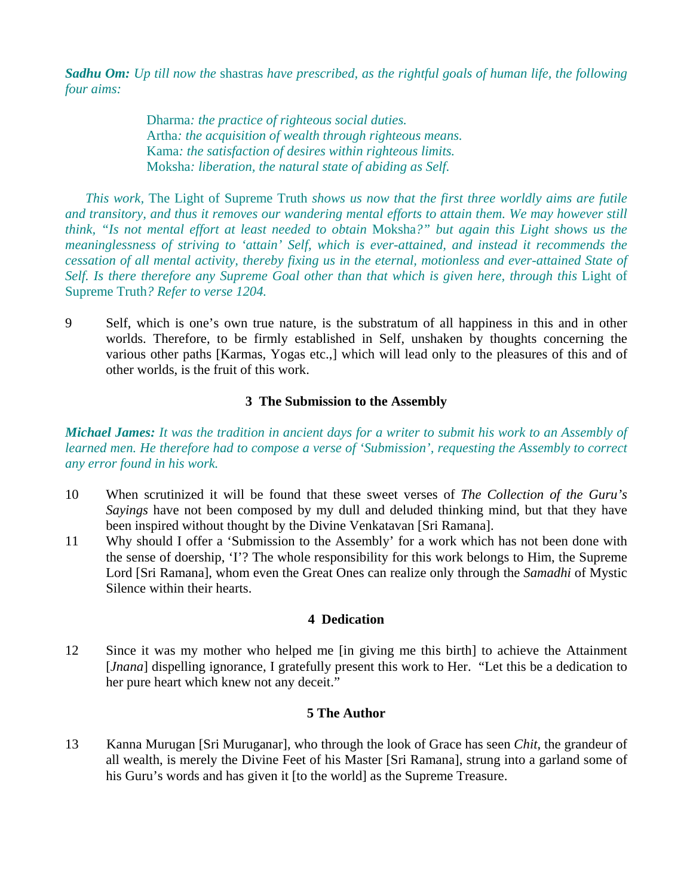*Sadhu Om: Up till now the* shastras *have prescribed, as the rightful goals of human life, the following four aims:* 

> Dharma*: the practice of righteous social duties.* Artha*: the acquisition of wealth through righteous means.* Kama*: the satisfaction of desires within righteous limits.* Moksha*: liberation, the natural state of abiding as Self.*

 *This work,* The Light of Supreme Truth *shows us now that the first three worldly aims are futile and transitory, and thus it removes our wandering mental efforts to attain them. We may however still think, "Is not mental effort at least needed to obtain* Moksha*?" but again this Light shows us the meaninglessness of striving to 'attain' Self, which is ever-attained, and instead it recommends the cessation of all mental activity, thereby fixing us in the eternal, motionless and ever-attained State of*  Self. Is there therefore any Supreme Goal other than that which is given here, through this Light of Supreme Truth*? Refer to verse 1204.*

9 Self, which is one's own true nature, is the substratum of all happiness in this and in other worlds. Therefore, to be firmly established in Self, unshaken by thoughts concerning the various other paths [Karmas, Yogas etc.,] which will lead only to the pleasures of this and of other worlds, is the fruit of this work.

## **3 The Submission to the Assembly**

*Michael James: It was the tradition in ancient days for a writer to submit his work to an Assembly of learned men. He therefore had to compose a verse of 'Submission', requesting the Assembly to correct any error found in his work.* 

- 10 When scrutinized it will be found that these sweet verses of *The Collection of the Guru's Sayings* have not been composed by my dull and deluded thinking mind, but that they have been inspired without thought by the Divine Venkatavan [Sri Ramana].
- 11 Why should I offer a 'Submission to the Assembly' for a work which has not been done with the sense of doership, 'I'? The whole responsibility for this work belongs to Him, the Supreme Lord [Sri Ramana], whom even the Great Ones can realize only through the *Samadhi* of Mystic Silence within their hearts.

### **4 Dedication**

12 Since it was my mother who helped me [in giving me this birth] to achieve the Attainment [*Jnana*] dispelling ignorance, I gratefully present this work to Her. "Let this be a dedication to her pure heart which knew not any deceit."

### **5 The Author**

13 Kanna Murugan [Sri Muruganar], who through the look of Grace has seen *Chit*, the grandeur of all wealth, is merely the Divine Feet of his Master [Sri Ramana], strung into a garland some of his Guru's words and has given it [to the world] as the Supreme Treasure.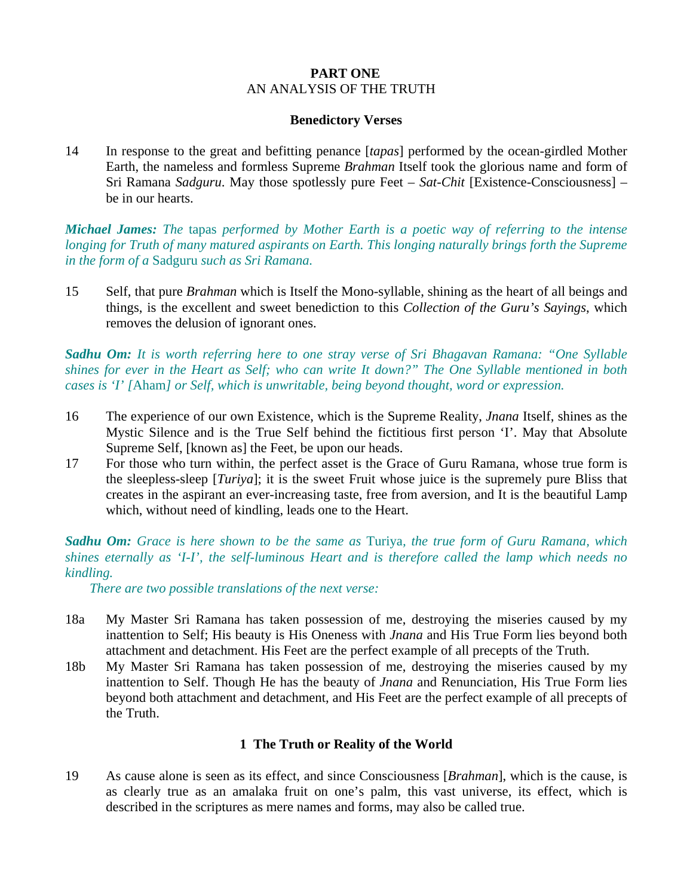### **PART ONE**  AN ANALYSIS OF THE TRUTH

#### **Benedictory Verses**

14 In response to the great and befitting penance [*tapas*] performed by the ocean-girdled Mother Earth, the nameless and formless Supreme *Brahman* Itself took the glorious name and form of Sri Ramana *Sadguru*. May those spotlessly pure Feet – *Sat-Chit* [Existence-Consciousness] – be in our hearts.

*Michael James: The* tapas *performed by Mother Earth is a poetic way of referring to the intense longing for Truth of many matured aspirants on Earth. This longing naturally brings forth the Supreme in the form of a* Sadguru *such as Sri Ramana.* 

15 Self, that pure *Brahman* which is Itself the Mono-syllable, shining as the heart of all beings and things, is the excellent and sweet benediction to this *Collection of the Guru's Sayings*, which removes the delusion of ignorant ones.

*Sadhu Om: It is worth referring here to one stray verse of Sri Bhagavan Ramana: "One Syllable shines for ever in the Heart as Self; who can write It down?" The One Syllable mentioned in both cases is 'I' [*Aham*] or Self, which is unwritable, being beyond thought, word or expression.* 

- 16 The experience of our own Existence, which is the Supreme Reality, *Jnana* Itself, shines as the Mystic Silence and is the True Self behind the fictitious first person 'I'. May that Absolute Supreme Self, [known as] the Feet, be upon our heads.
- 17 For those who turn within, the perfect asset is the Grace of Guru Ramana, whose true form is the sleepless-sleep [*Turiya*]; it is the sweet Fruit whose juice is the supremely pure Bliss that creates in the aspirant an ever-increasing taste, free from aversion, and It is the beautiful Lamp which, without need of kindling, leads one to the Heart.

*Sadhu Om: Grace is here shown to be the same as* Turiya*, the true form of Guru Ramana, which shines eternally as 'I-I', the self-luminous Heart and is therefore called the lamp which needs no kindling.* 

 *There are two possible translations of the next verse:*

- 18a My Master Sri Ramana has taken possession of me, destroying the miseries caused by my inattention to Self; His beauty is His Oneness with *Jnana* and His True Form lies beyond both attachment and detachment. His Feet are the perfect example of all precepts of the Truth.
- 18b My Master Sri Ramana has taken possession of me, destroying the miseries caused by my inattention to Self. Though He has the beauty of *Jnana* and Renunciation, His True Form lies beyond both attachment and detachment, and His Feet are the perfect example of all precepts of the Truth.

### **1 The Truth or Reality of the World**

19 As cause alone is seen as its effect, and since Consciousness [*Brahman*], which is the cause, is as clearly true as an amalaka fruit on one's palm, this vast universe, its effect, which is described in the scriptures as mere names and forms, may also be called true.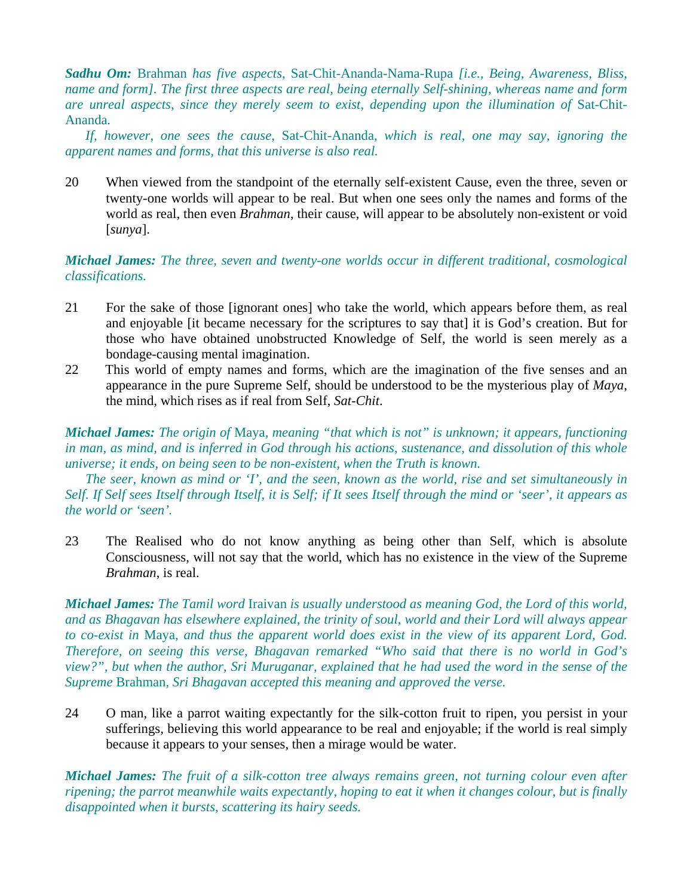*Sadhu Om:* Brahman *has five aspects,* Sat-Chit-Ananda-Nama-Rupa *[i.e., Being, Awareness, Bliss, name and form]. The first three aspects are real, being eternally Self-shining, whereas name and form are unreal aspects, since they merely seem to exist, depending upon the illumination of* Sat-Chit-Ananda*.* 

 *If, however, one sees the cause,* Sat-Chit-Ananda*, which is real, one may say, ignoring the apparent names and forms, that this universe is also real.* 

20 When viewed from the standpoint of the eternally self-existent Cause, even the three, seven or twenty-one worlds will appear to be real. But when one sees only the names and forms of the world as real, then even *Brahman*, their cause, will appear to be absolutely non-existent or void [*sunya*].

*Michael James: The three, seven and twenty-one worlds occur in different traditional, cosmological classifications.* 

- 21 For the sake of those [ignorant ones] who take the world, which appears before them, as real and enjoyable [it became necessary for the scriptures to say that] it is God's creation. But for those who have obtained unobstructed Knowledge of Self, the world is seen merely as a bondage-causing mental imagination.
- 22 This world of empty names and forms, which are the imagination of the five senses and an appearance in the pure Supreme Self, should be understood to be the mysterious play of *Maya*, the mind, which rises as if real from Self, *Sat-Chit*.

*Michael James: The origin of* Maya*, meaning "that which is not" is unknown; it appears, functioning in man, as mind, and is inferred in God through his actions, sustenance, and dissolution of this whole universe; it ends, on being seen to be non-existent, when the Truth is known.* 

 *The seer, known as mind or 'I', and the seen, known as the world, rise and set simultaneously in Self. If Self sees Itself through Itself, it is Self; if It sees Itself through the mind or 'seer', it appears as the world or 'seen'.* 

23 The Realised who do not know anything as being other than Self, which is absolute Consciousness, will not say that the world, which has no existence in the view of the Supreme *Brahman*, is real.

*Michael James: The Tamil word* Iraivan *is usually understood as meaning God, the Lord of this world, and as Bhagavan has elsewhere explained, the trinity of soul, world and their Lord will always appear to co-exist in* Maya*, and thus the apparent world does exist in the view of its apparent Lord, God. Therefore, on seeing this verse, Bhagavan remarked "Who said that there is no world in God's view?", but when the author, Sri Muruganar, explained that he had used the word in the sense of the Supreme* Brahman*, Sri Bhagavan accepted this meaning and approved the verse.* 

24 O man, like a parrot waiting expectantly for the silk-cotton fruit to ripen, you persist in your sufferings, believing this world appearance to be real and enjoyable; if the world is real simply because it appears to your senses, then a mirage would be water.

*Michael James: The fruit of a silk-cotton tree always remains green, not turning colour even after ripening; the parrot meanwhile waits expectantly, hoping to eat it when it changes colour, but is finally disappointed when it bursts, scattering its hairy seeds.*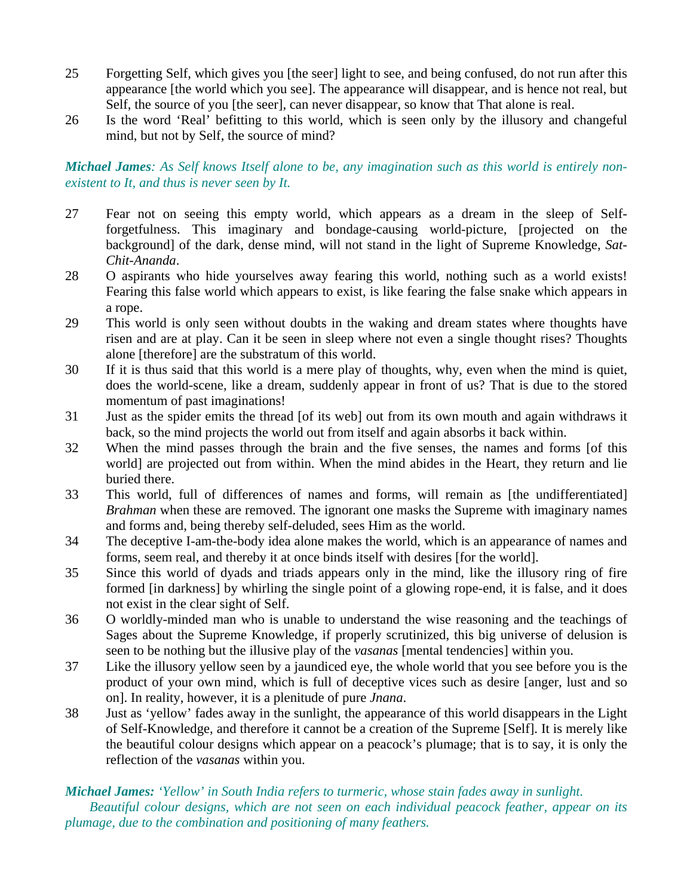- 25 Forgetting Self, which gives you [the seer] light to see, and being confused, do not run after this appearance [the world which you see]. The appearance will disappear, and is hence not real, but Self, the source of you [the seer], can never disappear, so know that That alone is real.
- 26 Is the word 'Real' befitting to this world, which is seen only by the illusory and changeful mind, but not by Self, the source of mind?

# *Michael James: As Self knows Itself alone to be, any imagination such as this world is entirely nonexistent to It, and thus is never seen by It.*

- 27 Fear not on seeing this empty world, which appears as a dream in the sleep of Selfforgetfulness. This imaginary and bondage-causing world-picture, [projected on the background] of the dark, dense mind, will not stand in the light of Supreme Knowledge, *Sat-Chit-Ananda*.
- 28 O aspirants who hide yourselves away fearing this world, nothing such as a world exists! Fearing this false world which appears to exist, is like fearing the false snake which appears in a rope.
- 29 This world is only seen without doubts in the waking and dream states where thoughts have risen and are at play. Can it be seen in sleep where not even a single thought rises? Thoughts alone [therefore] are the substratum of this world.
- 30 If it is thus said that this world is a mere play of thoughts, why, even when the mind is quiet, does the world-scene, like a dream, suddenly appear in front of us? That is due to the stored momentum of past imaginations!
- 31 Just as the spider emits the thread [of its web] out from its own mouth and again withdraws it back, so the mind projects the world out from itself and again absorbs it back within.
- 32 When the mind passes through the brain and the five senses, the names and forms [of this world] are projected out from within. When the mind abides in the Heart, they return and lie buried there.
- 33 This world, full of differences of names and forms, will remain as [the undifferentiated] *Brahman* when these are removed. The ignorant one masks the Supreme with imaginary names and forms and, being thereby self-deluded, sees Him as the world.
- 34 The deceptive I-am-the-body idea alone makes the world, which is an appearance of names and forms, seem real, and thereby it at once binds itself with desires [for the world].
- 35 Since this world of dyads and triads appears only in the mind, like the illusory ring of fire formed [in darkness] by whirling the single point of a glowing rope-end, it is false, and it does not exist in the clear sight of Self.
- 36 O worldly-minded man who is unable to understand the wise reasoning and the teachings of Sages about the Supreme Knowledge, if properly scrutinized, this big universe of delusion is seen to be nothing but the illusive play of the *vasanas* [mental tendencies] within you.
- 37 Like the illusory yellow seen by a jaundiced eye, the whole world that you see before you is the product of your own mind, which is full of deceptive vices such as desire [anger, lust and so on]. In reality, however, it is a plenitude of pure *Jnana*.
- 38 Just as 'yellow' fades away in the sunlight, the appearance of this world disappears in the Light of Self-Knowledge, and therefore it cannot be a creation of the Supreme [Self]. It is merely like the beautiful colour designs which appear on a peacock's plumage; that is to say, it is only the reflection of the *vasanas* within you.

### *Michael James: 'Yellow' in South India refers to turmeric, whose stain fades away in sunlight. Beautiful colour designs, which are not seen on each individual peacock feather, appear on its plumage, due to the combination and positioning of many feathers.*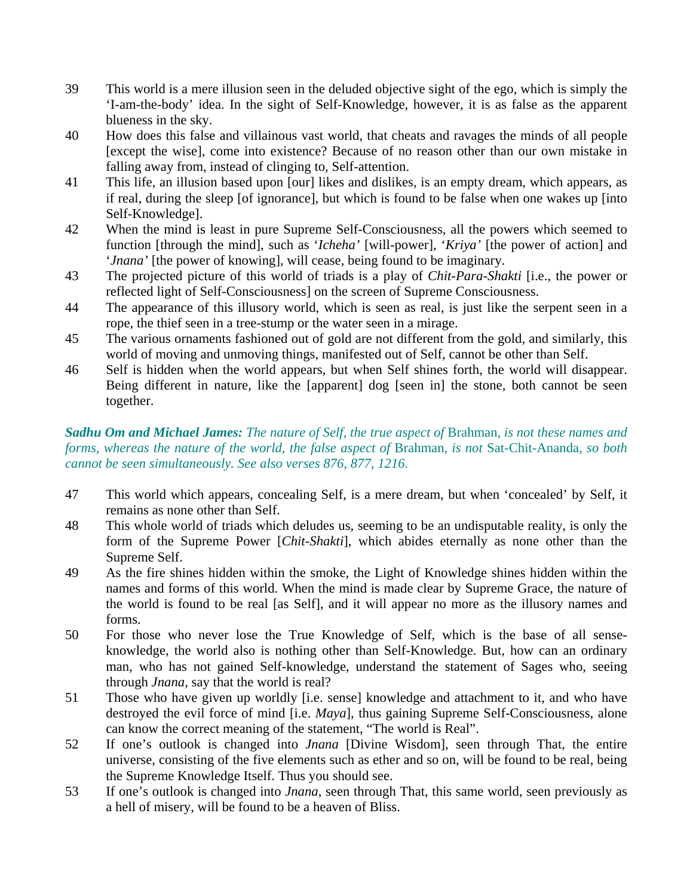- 39 This world is a mere illusion seen in the deluded objective sight of the ego, which is simply the 'I-am-the-body' idea. In the sight of Self-Knowledge, however, it is as false as the apparent blueness in the sky.
- 40 How does this false and villainous vast world, that cheats and ravages the minds of all people [except the wise], come into existence? Because of no reason other than our own mistake in falling away from, instead of clinging to, Self-attention.
- 41 This life, an illusion based upon [our] likes and dislikes, is an empty dream, which appears, as if real, during the sleep [of ignorance], but which is found to be false when one wakes up [into Self-Knowledge].
- 42 When the mind is least in pure Supreme Self-Consciousness, all the powers which seemed to function [through the mind], such as '*Icheha'* [will-power], '*Kriya'* [the power of action] and '*Jnana'* [the power of knowing], will cease, being found to be imaginary.
- 43 The projected picture of this world of triads is a play of *Chit-Para-Shakti* [i.e., the power or reflected light of Self-Consciousness] on the screen of Supreme Consciousness.
- 44 The appearance of this illusory world, which is seen as real, is just like the serpent seen in a rope, the thief seen in a tree-stump or the water seen in a mirage.
- 45 The various ornaments fashioned out of gold are not different from the gold, and similarly, this world of moving and unmoving things, manifested out of Self, cannot be other than Self.
- 46 Self is hidden when the world appears, but when Self shines forth, the world will disappear. Being different in nature, like the [apparent] dog [seen in] the stone, both cannot be seen together.

## *Sadhu Om and Michael James: The nature of Self, the true aspect of* Brahman*, is not these names and forms, whereas the nature of the world, the false aspect of* Brahman*, is not* Sat-Chit-Ananda*, so both cannot be seen simultaneously. See also verses 876, 877, 1216.*

- 47 This world which appears, concealing Self, is a mere dream, but when 'concealed' by Self, it remains as none other than Self.
- 48 This whole world of triads which deludes us, seeming to be an undisputable reality, is only the form of the Supreme Power [*Chit-Shakti*], which abides eternally as none other than the Supreme Self.
- 49 As the fire shines hidden within the smoke, the Light of Knowledge shines hidden within the names and forms of this world. When the mind is made clear by Supreme Grace, the nature of the world is found to be real [as Self], and it will appear no more as the illusory names and forms.
- 50 For those who never lose the True Knowledge of Self, which is the base of all senseknowledge, the world also is nothing other than Self-Knowledge. But, how can an ordinary man, who has not gained Self-knowledge, understand the statement of Sages who, seeing through *Jnana*, say that the world is real?
- 51 Those who have given up worldly [i.e. sense] knowledge and attachment to it, and who have destroyed the evil force of mind [i.e. *Maya*], thus gaining Supreme Self-Consciousness, alone can know the correct meaning of the statement, "The world is Real".
- 52 If one's outlook is changed into *Jnana* [Divine Wisdom], seen through That, the entire universe, consisting of the five elements such as ether and so on, will be found to be real, being the Supreme Knowledge Itself. Thus you should see.
- 53 If one's outlook is changed into *Jnana*, seen through That, this same world, seen previously as a hell of misery, will be found to be a heaven of Bliss.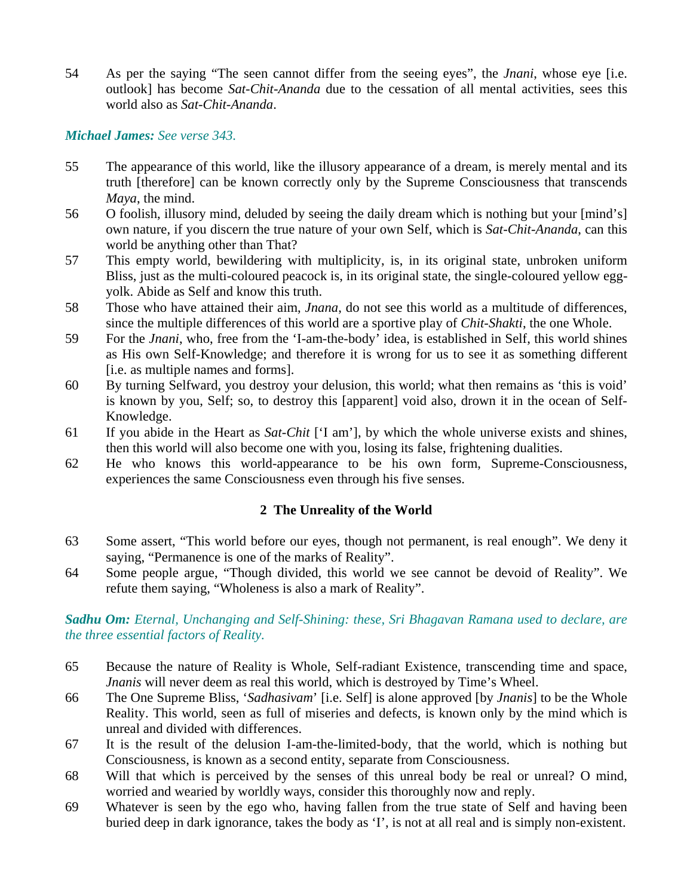54 As per the saying "The seen cannot differ from the seeing eyes", the *Jnani*, whose eye [i.e. outlook] has become *Sat-Chit-Ananda* due to the cessation of all mental activities, sees this world also as *Sat-Chit-Ananda*.

## *Michael James: See verse 343.*

- 55 The appearance of this world, like the illusory appearance of a dream, is merely mental and its truth [therefore] can be known correctly only by the Supreme Consciousness that transcends *Maya*, the mind.
- 56 O foolish, illusory mind, deluded by seeing the daily dream which is nothing but your [mind's] own nature, if you discern the true nature of your own Self, which is *Sat-Chit-Ananda*, can this world be anything other than That?
- 57 This empty world, bewildering with multiplicity, is, in its original state, unbroken uniform Bliss, just as the multi-coloured peacock is, in its original state, the single-coloured yellow eggyolk. Abide as Self and know this truth.
- 58 Those who have attained their aim, *Jnana*, do not see this world as a multitude of differences, since the multiple differences of this world are a sportive play of *Chit-Shakti*, the one Whole.
- 59 For the *Jnani*, who, free from the 'I-am-the-body' idea, is established in Self, this world shines as His own Self-Knowledge; and therefore it is wrong for us to see it as something different [i.e. as multiple names and forms].
- 60 By turning Selfward, you destroy your delusion, this world; what then remains as 'this is void' is known by you, Self; so, to destroy this [apparent] void also, drown it in the ocean of Self-Knowledge.
- 61 If you abide in the Heart as *Sat-Chit* ['I am'], by which the whole universe exists and shines, then this world will also become one with you, losing its false, frightening dualities.
- 62 He who knows this world-appearance to be his own form, Supreme-Consciousness, experiences the same Consciousness even through his five senses.

# **2 The Unreality of the World**

- 63 Some assert, "This world before our eyes, though not permanent, is real enough". We deny it saying, "Permanence is one of the marks of Reality".
- 64 Some people argue, "Though divided, this world we see cannot be devoid of Reality". We refute them saying, "Wholeness is also a mark of Reality".

## *Sadhu Om: Eternal, Unchanging and Self-Shining: these, Sri Bhagavan Ramana used to declare, are the three essential factors of Reality.*

- 65 Because the nature of Reality is Whole, Self-radiant Existence, transcending time and space, *Jnanis* will never deem as real this world, which is destroyed by Time's Wheel.
- 66 The One Supreme Bliss, '*Sadhasivam*' [i.e. Self] is alone approved [by *Jnanis*] to be the Whole Reality. This world, seen as full of miseries and defects, is known only by the mind which is unreal and divided with differences.
- 67 It is the result of the delusion I-am-the-limited-body, that the world, which is nothing but Consciousness, is known as a second entity, separate from Consciousness.
- 68 Will that which is perceived by the senses of this unreal body be real or unreal? O mind, worried and wearied by worldly ways, consider this thoroughly now and reply.
- 69 Whatever is seen by the ego who, having fallen from the true state of Self and having been buried deep in dark ignorance, takes the body as 'I', is not at all real and is simply non-existent.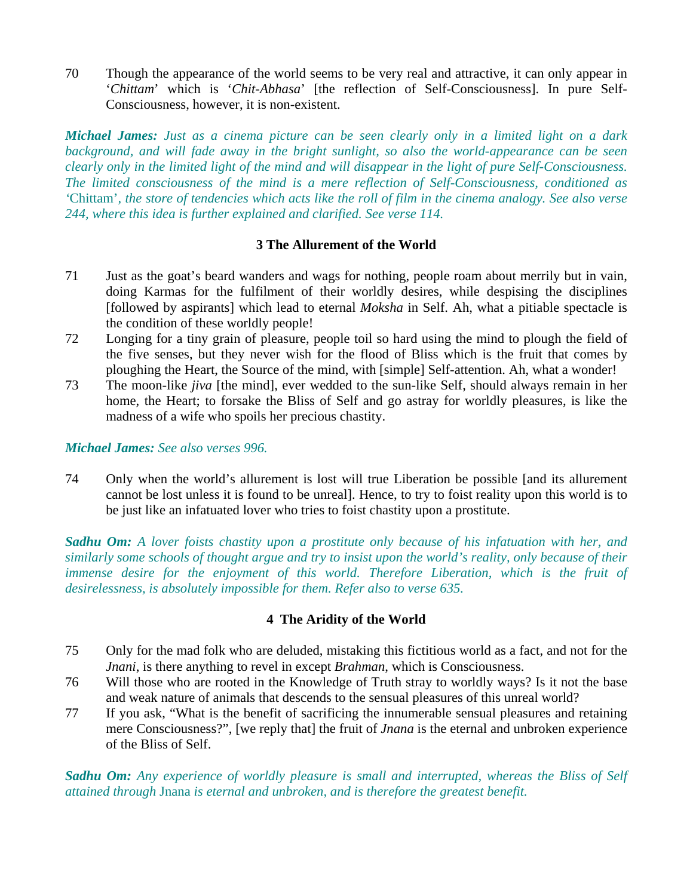70 Though the appearance of the world seems to be very real and attractive, it can only appear in '*Chittam*' which is '*Chit-Abhasa*' [the reflection of Self-Consciousness]. In pure Self-Consciousness, however, it is non-existent.

*Michael James: Just as a cinema picture can be seen clearly only in a limited light on a dark background, and will fade away in the bright sunlight, so also the world-appearance can be seen clearly only in the limited light of the mind and will disappear in the light of pure Self-Consciousness. The limited consciousness of the mind is a mere reflection of Self-Consciousness, conditioned as '*Chittam'*, the store of tendencies which acts like the roll of film in the cinema analogy. See also verse 244, where this idea is further explained and clarified. See verse 114.*

# **3 The Allurement of the World**

- 71 Just as the goat's beard wanders and wags for nothing, people roam about merrily but in vain, doing Karmas for the fulfilment of their worldly desires, while despising the disciplines [followed by aspirants] which lead to eternal *Moksha* in Self. Ah, what a pitiable spectacle is the condition of these worldly people!
- 72 Longing for a tiny grain of pleasure, people toil so hard using the mind to plough the field of the five senses, but they never wish for the flood of Bliss which is the fruit that comes by ploughing the Heart, the Source of the mind, with [simple] Self-attention. Ah, what a wonder!
- 73 The moon-like *jiva* [the mind], ever wedded to the sun-like Self, should always remain in her home, the Heart; to forsake the Bliss of Self and go astray for worldly pleasures, is like the madness of a wife who spoils her precious chastity.

## *Michael James: See also verses 996.*

74 Only when the world's allurement is lost will true Liberation be possible [and its allurement cannot be lost unless it is found to be unreal]. Hence, to try to foist reality upon this world is to be just like an infatuated lover who tries to foist chastity upon a prostitute.

*Sadhu Om: A lover foists chastity upon a prostitute only because of his infatuation with her, and similarly some schools of thought argue and try to insist upon the world's reality, only because of their immense desire for the enjoyment of this world. Therefore Liberation, which is the fruit of desirelessness, is absolutely impossible for them. Refer also to verse 635.*

# **4 The Aridity of the World**

- 75 Only for the mad folk who are deluded, mistaking this fictitious world as a fact, and not for the *Jnani*, is there anything to revel in except *Brahman*, which is Consciousness.
- 76 Will those who are rooted in the Knowledge of Truth stray to worldly ways? Is it not the base and weak nature of animals that descends to the sensual pleasures of this unreal world?
- 77 If you ask, "What is the benefit of sacrificing the innumerable sensual pleasures and retaining mere Consciousness?", [we reply that] the fruit of *Jnana* is the eternal and unbroken experience of the Bliss of Self.

*Sadhu Om: Any experience of worldly pleasure is small and interrupted, whereas the Bliss of Self attained through* Jnana *is eternal and unbroken, and is therefore the greatest benefit.*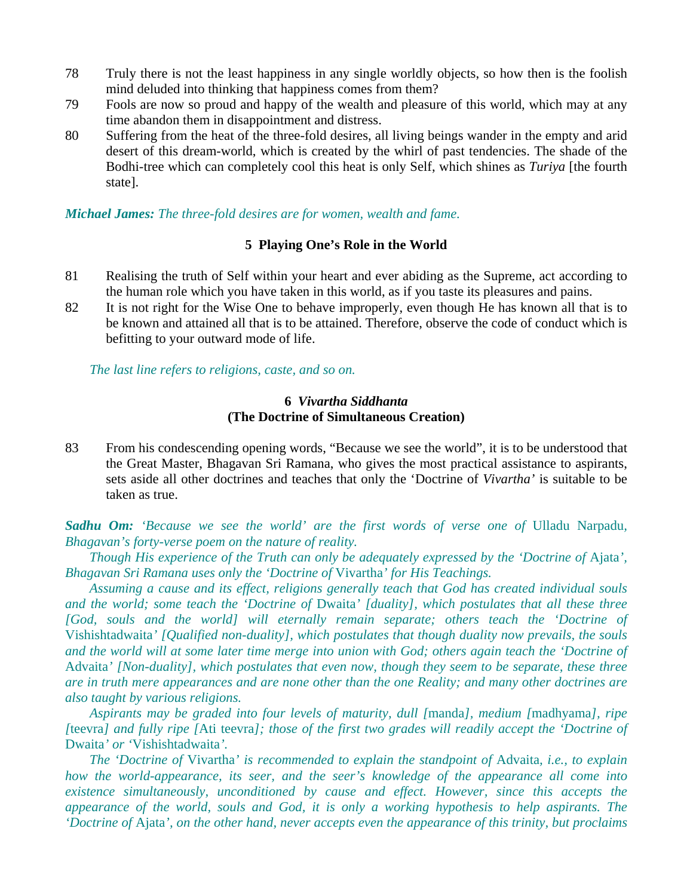- 78 Truly there is not the least happiness in any single worldly objects, so how then is the foolish mind deluded into thinking that happiness comes from them?
- 79 Fools are now so proud and happy of the wealth and pleasure of this world, which may at any time abandon them in disappointment and distress.
- 80 Suffering from the heat of the three-fold desires, all living beings wander in the empty and arid desert of this dream-world, which is created by the whirl of past tendencies. The shade of the Bodhi-tree which can completely cool this heat is only Self, which shines as *Turiya* [the fourth state].

#### *Michael James: The three-fold desires are for women, wealth and fame.*

#### **5 Playing One's Role in the World**

- 81 Realising the truth of Self within your heart and ever abiding as the Supreme, act according to the human role which you have taken in this world, as if you taste its pleasures and pains.
- 82 It is not right for the Wise One to behave improperly, even though He has known all that is to be known and attained all that is to be attained. Therefore, observe the code of conduct which is befitting to your outward mode of life.

 *The last line refers to religions, caste, and so on.* 

#### **6** *Vivartha Siddhanta* **(The Doctrine of Simultaneous Creation)**

83 From his condescending opening words, "Because we see the world", it is to be understood that the Great Master, Bhagavan Sri Ramana, who gives the most practical assistance to aspirants, sets aside all other doctrines and teaches that only the 'Doctrine of *Vivartha'* is suitable to be taken as true.

**Sadhu Om:** 'Because we see the world' are the first words of verse one of Ulladu Narpadu, *Bhagavan's forty-verse poem on the nature of reality.* 

*Though His experience of the Truth can only be adequately expressed by the 'Doctrine of Ajata', Bhagavan Sri Ramana uses only the 'Doctrine of* Vivartha*' for His Teachings.* 

 *Assuming a cause and its effect, religions generally teach that God has created individual souls and the world; some teach the 'Doctrine of* Dwaita*' [duality], which postulates that all these three [God, souls and the world] will eternally remain separate; others teach the 'Doctrine of*  Vishishtadwaita*' [Qualified non-duality], which postulates that though duality now prevails, the souls and the world will at some later time merge into union with God; others again teach the 'Doctrine of*  Advaita*' [Non-duality], which postulates that even now, though they seem to be separate, these three are in truth mere appearances and are none other than the one Reality; and many other doctrines are also taught by various religions.* 

 *Aspirants may be graded into four levels of maturity, dull [*manda*], medium [*madhyama*], ripe [*teevra*] and fully ripe [*Ati teevra*]; those of the first two grades will readily accept the 'Doctrine of*  Dwaita*' or '*Vishishtadwaita*'.* 

 *The 'Doctrine of* Vivartha*' is recommended to explain the standpoint of* Advaita*, i.e., to explain how the world-appearance, its seer, and the seer's knowledge of the appearance all come into existence simultaneously, unconditioned by cause and effect. However, since this accepts the appearance of the world, souls and God, it is only a working hypothesis to help aspirants. The 'Doctrine of* Ajata*', on the other hand, never accepts even the appearance of this trinity, but proclaims*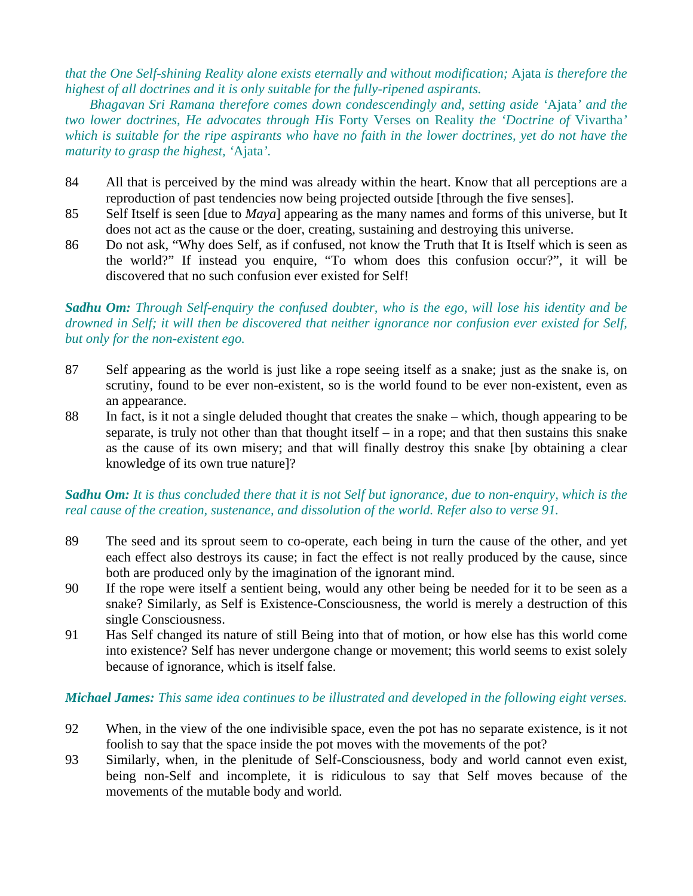*that the One Self-shining Reality alone exists eternally and without modification;* Ajata *is therefore the highest of all doctrines and it is only suitable for the fully-ripened aspirants.* 

 *Bhagavan Sri Ramana therefore comes down condescendingly and, setting aside '*Ajata*' and the two lower doctrines, He advocates through His* Forty Verses on Reality *the 'Doctrine of* Vivartha*' which is suitable for the ripe aspirants who have no faith in the lower doctrines, yet do not have the maturity to grasp the highest, '*Ajata*'.* 

- 84 All that is perceived by the mind was already within the heart. Know that all perceptions are a reproduction of past tendencies now being projected outside [through the five senses].
- 85 Self Itself is seen [due to *Maya*] appearing as the many names and forms of this universe, but It does not act as the cause or the doer, creating, sustaining and destroying this universe.
- 86 Do not ask, "Why does Self, as if confused, not know the Truth that It is Itself which is seen as the world?" If instead you enquire, "To whom does this confusion occur?", it will be discovered that no such confusion ever existed for Self!

# *Sadhu Om: Through Self-enquiry the confused doubter, who is the ego, will lose his identity and be drowned in Self; it will then be discovered that neither ignorance nor confusion ever existed for Self, but only for the non-existent ego.*

- 87 Self appearing as the world is just like a rope seeing itself as a snake; just as the snake is, on scrutiny, found to be ever non-existent, so is the world found to be ever non-existent, even as an appearance.
- 88 In fact, is it not a single deluded thought that creates the snake which, though appearing to be separate, is truly not other than that thought itself  $-$  in a rope; and that then sustains this snake as the cause of its own misery; and that will finally destroy this snake [by obtaining a clear knowledge of its own true nature]?

# *Sadhu Om: It is thus concluded there that it is not Self but ignorance, due to non-enquiry, which is the real cause of the creation, sustenance, and dissolution of the world. Refer also to verse 91.*

- 89 The seed and its sprout seem to co-operate, each being in turn the cause of the other, and yet each effect also destroys its cause; in fact the effect is not really produced by the cause, since both are produced only by the imagination of the ignorant mind.
- 90 If the rope were itself a sentient being, would any other being be needed for it to be seen as a snake? Similarly, as Self is Existence-Consciousness, the world is merely a destruction of this single Consciousness.
- 91 Has Self changed its nature of still Being into that of motion, or how else has this world come into existence? Self has never undergone change or movement; this world seems to exist solely because of ignorance, which is itself false.

# *Michael James: This same idea continues to be illustrated and developed in the following eight verses.*

- 92 When, in the view of the one indivisible space, even the pot has no separate existence, is it not foolish to say that the space inside the pot moves with the movements of the pot?
- 93 Similarly, when, in the plenitude of Self-Consciousness, body and world cannot even exist, being non-Self and incomplete, it is ridiculous to say that Self moves because of the movements of the mutable body and world.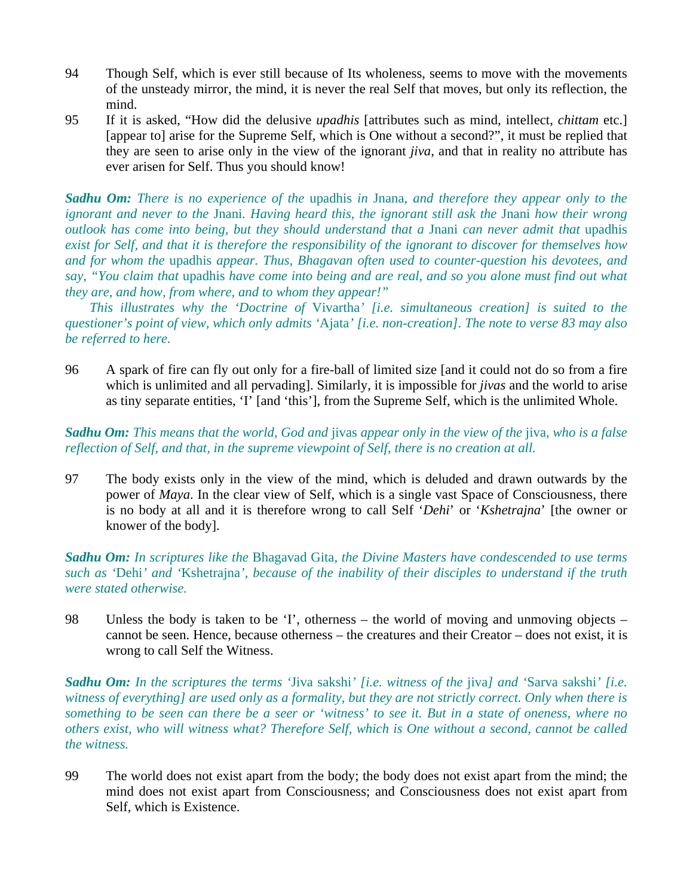- 94 Though Self, which is ever still because of Its wholeness, seems to move with the movements of the unsteady mirror, the mind, it is never the real Self that moves, but only its reflection, the mind.
- 95 If it is asked, "How did the delusive *upadhis* [attributes such as mind, intellect, *chittam* etc.] [appear to] arise for the Supreme Self, which is One without a second?", it must be replied that they are seen to arise only in the view of the ignorant *jiva*, and that in reality no attribute has ever arisen for Self. Thus you should know!

*Sadhu Om: There is no experience of the* upadhis *in* Jnana*, and therefore they appear only to the ignorant and never to the* Jnani*. Having heard this, the ignorant still ask the* Jnani *how their wrong outlook has come into being, but they should understand that a* Jnani *can never admit that* upadhis *exist for Self, and that it is therefore the responsibility of the ignorant to discover for themselves how and for whom the* upadhis *appear. Thus, Bhagavan often used to counter-question his devotees, and say, "You claim that* upadhis *have come into being and are real, and so you alone must find out what they are, and how, from where, and to whom they appear!"* 

 *This illustrates why the 'Doctrine of* Vivartha*' [i.e. simultaneous creation] is suited to the questioner's point of view, which only admits '*Ajata*' [i.e. non-creation]. The note to verse 83 may also be referred to here.* 

96 A spark of fire can fly out only for a fire-ball of limited size [and it could not do so from a fire which is unlimited and all pervading]. Similarly, it is impossible for *jivas* and the world to arise as tiny separate entities, 'I' [and 'this'], from the Supreme Self, which is the unlimited Whole.

*Sadhu Om: This means that the world, God and* jivas *appear only in the view of the* jiva*, who is a false reflection of Self, and that, in the supreme viewpoint of Self, there is no creation at all.*

97 The body exists only in the view of the mind, which is deluded and drawn outwards by the power of *Maya*. In the clear view of Self, which is a single vast Space of Consciousness, there is no body at all and it is therefore wrong to call Self '*Dehi*' or '*Kshetrajna*' [the owner or knower of the body].

*Sadhu Om: In scriptures like the* Bhagavad Gita*, the Divine Masters have condescended to use terms such as '*Dehi*' and '*Kshetrajna*', because of the inability of their disciples to understand if the truth were stated otherwise.* 

98 Unless the body is taken to be 'I', otherness – the world of moving and unmoving objects – cannot be seen. Hence, because otherness – the creatures and their Creator – does not exist, it is wrong to call Self the Witness.

*Sadhu Om: In the scriptures the terms '*Jiva sakshi*' [i.e. witness of the* jiva*] and '*Sarva sakshi*' [i.e. witness of everything] are used only as a formality, but they are not strictly correct. Only when there is something to be seen can there be a seer or 'witness' to see it. But in a state of oneness, where no others exist, who will witness what? Therefore Self, which is One without a second, cannot be called the witness.* 

99 The world does not exist apart from the body; the body does not exist apart from the mind; the mind does not exist apart from Consciousness; and Consciousness does not exist apart from Self, which is Existence.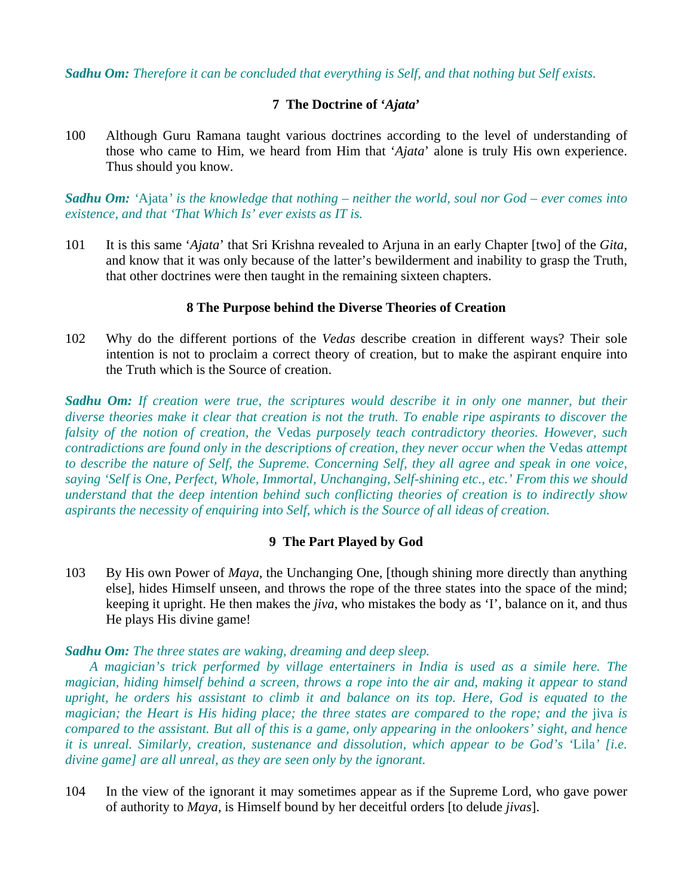*Sadhu Om: Therefore it can be concluded that everything is Self, and that nothing but Self exists.* 

## **7 The Doctrine of '***Ajata***'**

100 Although Guru Ramana taught various doctrines according to the level of understanding of those who came to Him, we heard from Him that '*Ajata*' alone is truly His own experience. Thus should you know.

*Sadhu Om: '*Ajata*' is the knowledge that nothing – neither the world, soul nor God – ever comes into existence, and that 'That Which Is' ever exists as IT is.* 

101 It is this same '*Ajata*' that Sri Krishna revealed to Arjuna in an early Chapter [two] of the *Gita*, and know that it was only because of the latter's bewilderment and inability to grasp the Truth, that other doctrines were then taught in the remaining sixteen chapters.

### **8 The Purpose behind the Diverse Theories of Creation**

102 Why do the different portions of the *Vedas* describe creation in different ways? Their sole intention is not to proclaim a correct theory of creation, but to make the aspirant enquire into the Truth which is the Source of creation.

*Sadhu Om: If creation were true, the scriptures would describe it in only one manner, but their diverse theories make it clear that creation is not the truth. To enable ripe aspirants to discover the falsity of the notion of creation, the* Vedas *purposely teach contradictory theories. However, such contradictions are found only in the descriptions of creation, they never occur when the* Vedas *attempt to describe the nature of Self, the Supreme. Concerning Self, they all agree and speak in one voice, saying 'Self is One, Perfect, Whole, Immortal, Unchanging, Self-shining etc., etc.' From this we should understand that the deep intention behind such conflicting theories of creation is to indirectly show aspirants the necessity of enquiring into Self, which is the Source of all ideas of creation.* 

# **9 The Part Played by God**

103 By His own Power of *Maya*, the Unchanging One, [though shining more directly than anything else], hides Himself unseen, and throws the rope of the three states into the space of the mind; keeping it upright. He then makes the *jiva*, who mistakes the body as 'I', balance on it, and thus He plays His divine game!

### *Sadhu Om: The three states are waking, dreaming and deep sleep.*

 *A magician's trick performed by village entertainers in India is used as a simile here. The magician, hiding himself behind a screen, throws a rope into the air and, making it appear to stand upright, he orders his assistant to climb it and balance on its top. Here, God is equated to the magician; the Heart is His hiding place; the three states are compared to the rope; and the jiva is compared to the assistant. But all of this is a game, only appearing in the onlookers' sight, and hence it is unreal. Similarly, creation, sustenance and dissolution, which appear to be God's '*Lila*' [i.e. divine game] are all unreal, as they are seen only by the ignorant.* 

104 In the view of the ignorant it may sometimes appear as if the Supreme Lord, who gave power of authority to *Maya*, is Himself bound by her deceitful orders [to delude *jivas*].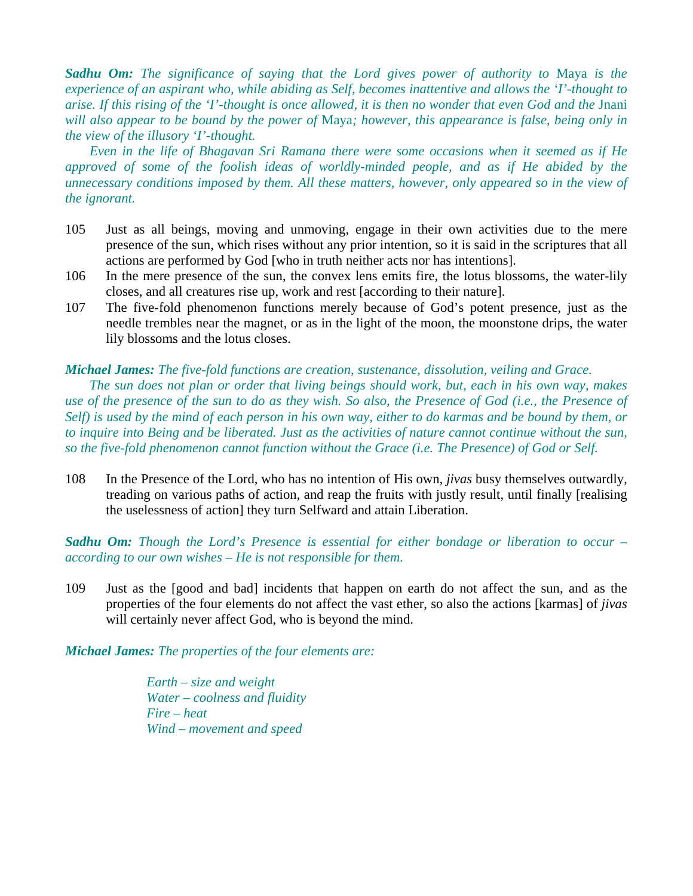*Sadhu Om: The significance of saying that the Lord gives power of authority to* Maya *is the experience of an aspirant who, while abiding as Self, becomes inattentive and allows the 'I'-thought to arise. If this rising of the 'I'-thought is once allowed, it is then no wonder that even God and the* Jnani *will also appear to be bound by the power of* Maya*; however, this appearance is false, being only in the view of the illusory 'I'-thought.* 

 *Even in the life of Bhagavan Sri Ramana there were some occasions when it seemed as if He approved of some of the foolish ideas of worldly-minded people, and as if He abided by the unnecessary conditions imposed by them. All these matters, however, only appeared so in the view of the ignorant.* 

- 105 Just as all beings, moving and unmoving, engage in their own activities due to the mere presence of the sun, which rises without any prior intention, so it is said in the scriptures that all actions are performed by God [who in truth neither acts nor has intentions].
- 106 In the mere presence of the sun, the convex lens emits fire, the lotus blossoms, the water-lily closes, and all creatures rise up, work and rest [according to their nature].
- 107 The five-fold phenomenon functions merely because of God's potent presence, just as the needle trembles near the magnet, or as in the light of the moon, the moonstone drips, the water lily blossoms and the lotus closes.

### *Michael James: The five-fold functions are creation, sustenance, dissolution, veiling and Grace.*

 *The sun does not plan or order that living beings should work, but, each in his own way, makes use of the presence of the sun to do as they wish. So also, the Presence of God (i.e., the Presence of Self) is used by the mind of each person in his own way, either to do karmas and be bound by them, or to inquire into Being and be liberated. Just as the activities of nature cannot continue without the sun, so the five-fold phenomenon cannot function without the Grace (i.e. The Presence) of God or Self.* 

108 In the Presence of the Lord, who has no intention of His own, *jivas* busy themselves outwardly, treading on various paths of action, and reap the fruits with justly result, until finally [realising the uselessness of action] they turn Selfward and attain Liberation.

*Sadhu Om: Though the Lord's Presence is essential for either bondage or liberation to occur – according to our own wishes – He is not responsible for them.* 

109 Just as the [good and bad] incidents that happen on earth do not affect the sun, and as the properties of the four elements do not affect the vast ether, so also the actions [karmas] of *jivas* will certainly never affect God, who is beyond the mind.

*Michael James: The properties of the four elements are:* 

*Earth – size and weight Water – coolness and fluidity Fire – heat Wind – movement and speed*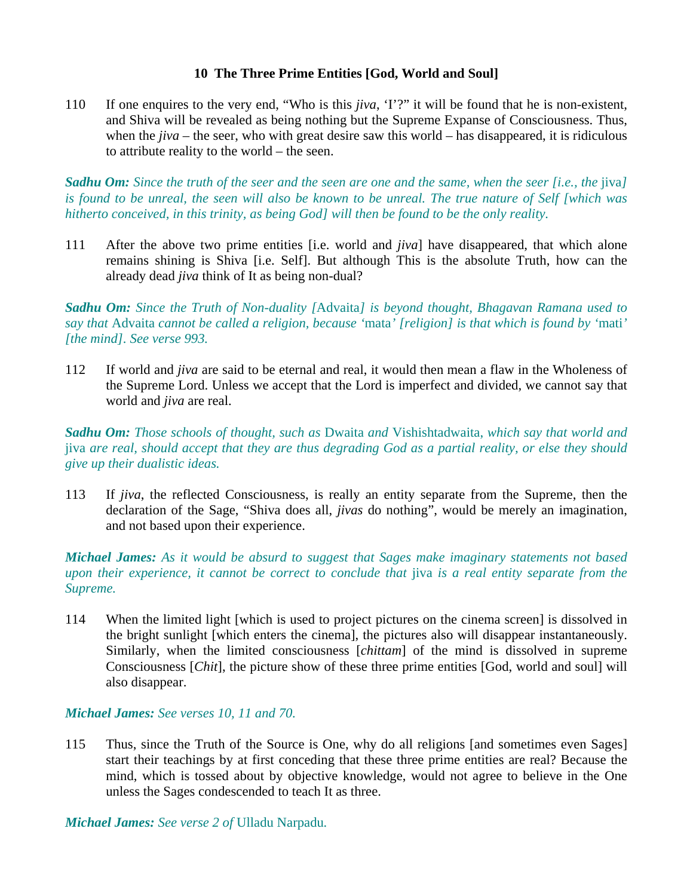### **10 The Three Prime Entities [God, World and Soul]**

110 If one enquires to the very end, "Who is this *jiva*, 'I'?" it will be found that he is non-existent, and Shiva will be revealed as being nothing but the Supreme Expanse of Consciousness. Thus, when the *jiva* – the seer, who with great desire saw this world – has disappeared, it is ridiculous to attribute reality to the world – the seen.

**Sadhu Om:** Since the truth of the seer and the seen are one and the same, when the seer *[i.e., the jiva*] *is found to be unreal, the seen will also be known to be unreal. The true nature of Self [which was hitherto conceived, in this trinity, as being God] will then be found to be the only reality.* 

111 After the above two prime entities [i.e. world and *jiva*] have disappeared, that which alone remains shining is Shiva [i.e. Self]. But although This is the absolute Truth, how can the already dead *jiva* think of It as being non-dual?

*Sadhu Om: Since the Truth of Non-duality [*Advaita*] is beyond thought, Bhagavan Ramana used to say that* Advaita *cannot be called a religion, because '*mata*' [religion] is that which is found by '*mati*' [the mind]. See verse 993.*

112 If world and *jiva* are said to be eternal and real, it would then mean a flaw in the Wholeness of the Supreme Lord. Unless we accept that the Lord is imperfect and divided, we cannot say that world and *jiva* are real.

*Sadhu Om: Those schools of thought, such as* Dwaita *and* Vishishtadwaita, *which say that world and*  jiva *are real, should accept that they are thus degrading God as a partial reality, or else they should give up their dualistic ideas.* 

113 If *jiva*, the reflected Consciousness, is really an entity separate from the Supreme, then the declaration of the Sage, "Shiva does all, *jivas* do nothing", would be merely an imagination, and not based upon their experience.

*Michael James: As it would be absurd to suggest that Sages make imaginary statements not based upon their experience, it cannot be correct to conclude that* jiva *is a real entity separate from the Supreme.* 

114 When the limited light [which is used to project pictures on the cinema screen] is dissolved in the bright sunlight [which enters the cinema], the pictures also will disappear instantaneously. Similarly, when the limited consciousness [*chittam*] of the mind is dissolved in supreme Consciousness [*Chit*], the picture show of these three prime entities [God, world and soul] will also disappear.

### *Michael James: See verses 10, 11 and 70.*

115 Thus, since the Truth of the Source is One, why do all religions [and sometimes even Sages] start their teachings by at first conceding that these three prime entities are real? Because the mind, which is tossed about by objective knowledge, would not agree to believe in the One unless the Sages condescended to teach It as three.

*Michael James: See verse 2 of* Ulladu Narpadu*.*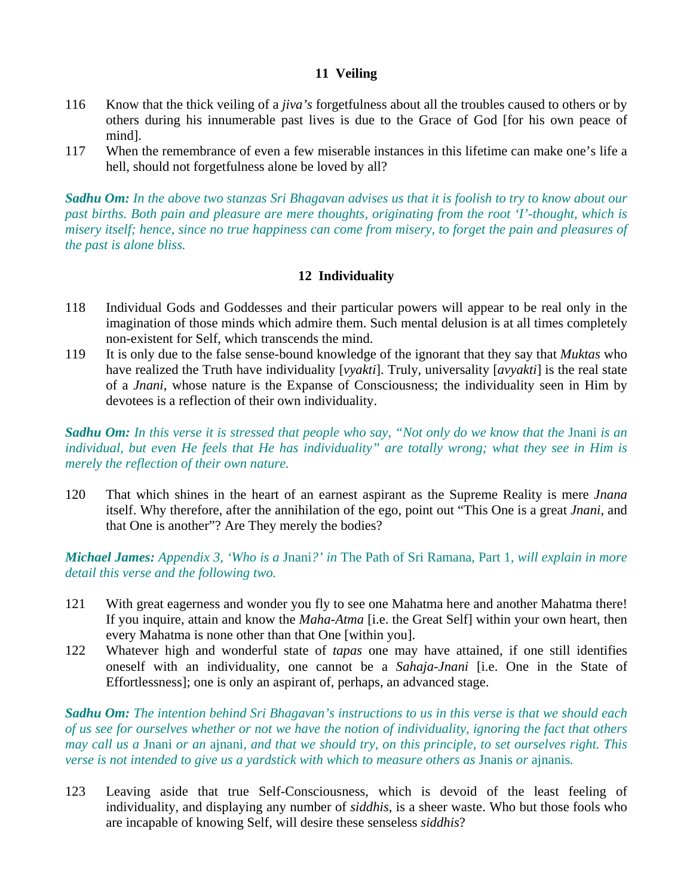## **11 Veiling**

- 116 Know that the thick veiling of a *jiva's* forgetfulness about all the troubles caused to others or by others during his innumerable past lives is due to the Grace of God [for his own peace of mind].
- 117 When the remembrance of even a few miserable instances in this lifetime can make one's life a hell, should not forgetfulness alone be loved by all?

*Sadhu Om: In the above two stanzas Sri Bhagavan advises us that it is foolish to try to know about our past births. Both pain and pleasure are mere thoughts, originating from the root 'I'-thought, which is misery itself; hence, since no true happiness can come from misery, to forget the pain and pleasures of the past is alone bliss.* 

# **12 Individuality**

- 118 Individual Gods and Goddesses and their particular powers will appear to be real only in the imagination of those minds which admire them. Such mental delusion is at all times completely non-existent for Self, which transcends the mind.
- 119 It is only due to the false sense-bound knowledge of the ignorant that they say that *Muktas* who have realized the Truth have individuality [*vyakti*]. Truly, universality [*avyakti*] is the real state of a *Jnani*, whose nature is the Expanse of Consciousness; the individuality seen in Him by devotees is a reflection of their own individuality.

**Sadhu Om:** In this verse it is stressed that people who say, "Not only do we know that the Jnani is an *individual, but even He feels that He has individuality" are totally wrong; what they see in Him is merely the reflection of their own nature.* 

120 That which shines in the heart of an earnest aspirant as the Supreme Reality is mere *Jnana* itself. Why therefore, after the annihilation of the ego, point out "This One is a great *Jnani*, and that One is another"? Are They merely the bodies?

*Michael James: Appendix 3, 'Who is a* Jnani*?' in* The Path of Sri Ramana*,* Part 1*, will explain in more detail this verse and the following two.* 

- 121 With great eagerness and wonder you fly to see one Mahatma here and another Mahatma there! If you inquire, attain and know the *Maha-Atma* [i.e. the Great Self] within your own heart, then every Mahatma is none other than that One [within you].
- 122 Whatever high and wonderful state of *tapas* one may have attained, if one still identifies oneself with an individuality, one cannot be a *Sahaja-Jnani* [i.e. One in the State of Effortlessness]; one is only an aspirant of, perhaps, an advanced stage.

*Sadhu Om: The intention behind Sri Bhagavan's instructions to us in this verse is that we should each of us see for ourselves whether or not we have the notion of individuality, ignoring the fact that others may call us a* Jnani *or an* ajnani*, and that we should try, on this principle, to set ourselves right. This verse is not intended to give us a yardstick with which to measure others as Jnanis or ajnanis.* 

123 Leaving aside that true Self-Consciousness, which is devoid of the least feeling of individuality, and displaying any number of *siddhis*, is a sheer waste. Who but those fools who are incapable of knowing Self, will desire these senseless *siddhis*?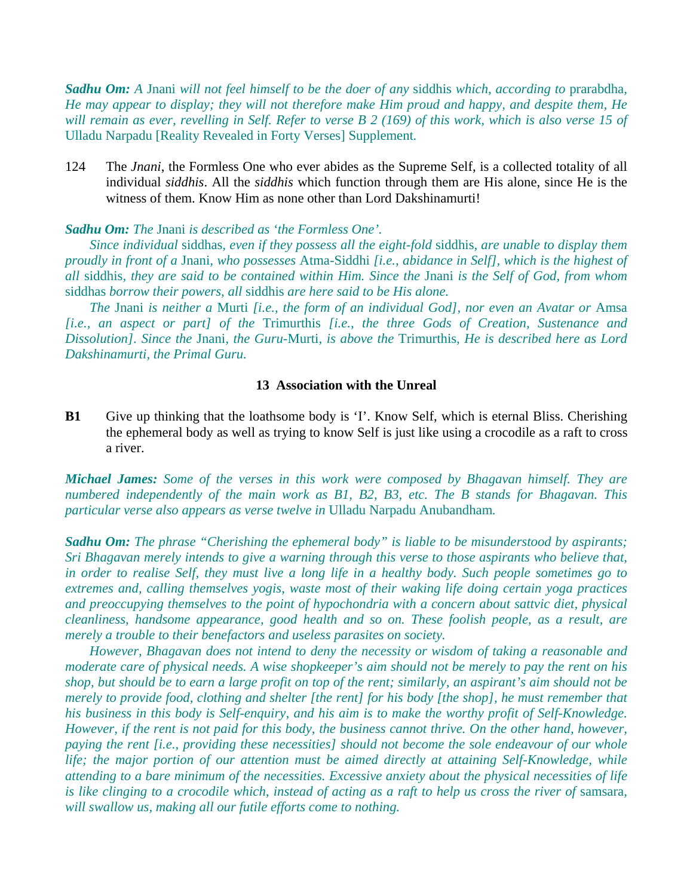*Sadhu Om: A* Jnani *will not feel himself to be the doer of any* siddhis *which, according to* prarabdha*, He may appear to display; they will not therefore make Him proud and happy, and despite them, He will remain as ever, revelling in Self. Refer to verse B 2 (169) of this work, which is also verse 15 of*  Ulladu Narpadu [Reality Revealed in Forty Verses] Supplement*.* 

124 The *Jnani*, the Formless One who ever abides as the Supreme Self, is a collected totality of all individual *siddhis*. All the *siddhis* which function through them are His alone, since He is the witness of them. Know Him as none other than Lord Dakshinamurti!

#### *Sadhu Om: The* Jnani *is described as 'the Formless One'.*

 *Since individual* siddhas*, even if they possess all the eight-fold* siddhis*, are unable to display them proudly in front of a* Jnani*, who possesses* Atma-Siddhi *[i.e., abidance in Self], which is the highest of all* siddhis*, they are said to be contained within Him. Since the* Jnani *is the Self of God, from whom*  siddhas *borrow their powers, all* siddhis *are here said to be His alone.* 

 *The* Jnani *is neither a* Murti *[i.e., the form of an individual God], nor even an Avatar or* Amsa *[i.e., an aspect or part] of the* Trimurthis *[i.e., the three Gods of Creation, Sustenance and Dissolution]. Since the* Jnani*, the Guru-*Murti*, is above the* Trimurthis*, He is described here as Lord Dakshinamurti, the Primal Guru.* 

#### **13 Association with the Unreal**

**B1** Give up thinking that the loathsome body is 'I'. Know Self, which is eternal Bliss. Cherishing the ephemeral body as well as trying to know Self is just like using a crocodile as a raft to cross a river.

*Michael James: Some of the verses in this work were composed by Bhagavan himself. They are numbered independently of the main work as B1, B2, B3, etc. The B stands for Bhagavan. This particular verse also appears as verse twelve in* Ulladu Narpadu Anubandham*.* 

*Sadhu Om: The phrase "Cherishing the ephemeral body" is liable to be misunderstood by aspirants; Sri Bhagavan merely intends to give a warning through this verse to those aspirants who believe that, in order to realise Self, they must live a long life in a healthy body. Such people sometimes go to extremes and, calling themselves yogis, waste most of their waking life doing certain yoga practices and preoccupying themselves to the point of hypochondria with a concern about sattvic diet, physical cleanliness, handsome appearance, good health and so on. These foolish people, as a result, are merely a trouble to their benefactors and useless parasites on society.* 

 *However, Bhagavan does not intend to deny the necessity or wisdom of taking a reasonable and moderate care of physical needs. A wise shopkeeper's aim should not be merely to pay the rent on his shop, but should be to earn a large profit on top of the rent; similarly, an aspirant's aim should not be merely to provide food, clothing and shelter [the rent] for his body [the shop], he must remember that his business in this body is Self-enquiry, and his aim is to make the worthy profit of Self-Knowledge. However, if the rent is not paid for this body, the business cannot thrive. On the other hand, however, paying the rent [i.e., providing these necessities] should not become the sole endeavour of our whole life; the major portion of our attention must be aimed directly at attaining Self-Knowledge, while attending to a bare minimum of the necessities. Excessive anxiety about the physical necessities of life is like clinging to a crocodile which, instead of acting as a raft to help us cross the river of* samsara*, will swallow us, making all our futile efforts come to nothing.*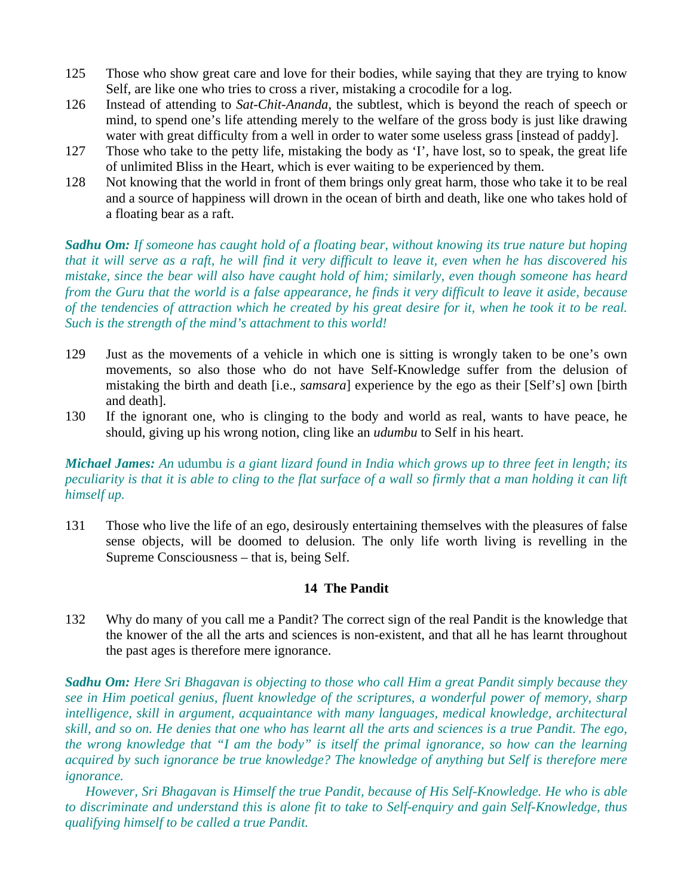- 125 Those who show great care and love for their bodies, while saying that they are trying to know Self, are like one who tries to cross a river, mistaking a crocodile for a log.
- 126 Instead of attending to *Sat-Chit-Ananda*, the subtlest, which is beyond the reach of speech or mind, to spend one's life attending merely to the welfare of the gross body is just like drawing water with great difficulty from a well in order to water some useless grass [instead of paddy].
- 127 Those who take to the petty life, mistaking the body as 'I', have lost, so to speak, the great life of unlimited Bliss in the Heart, which is ever waiting to be experienced by them.
- 128 Not knowing that the world in front of them brings only great harm, those who take it to be real and a source of happiness will drown in the ocean of birth and death, like one who takes hold of a floating bear as a raft.

*Sadhu Om: If someone has caught hold of a floating bear, without knowing its true nature but hoping that it will serve as a raft, he will find it very difficult to leave it, even when he has discovered his mistake, since the bear will also have caught hold of him; similarly, even though someone has heard from the Guru that the world is a false appearance, he finds it very difficult to leave it aside, because of the tendencies of attraction which he created by his great desire for it, when he took it to be real. Such is the strength of the mind's attachment to this world!* 

- 129 Just as the movements of a vehicle in which one is sitting is wrongly taken to be one's own movements, so also those who do not have Self-Knowledge suffer from the delusion of mistaking the birth and death [i.e., *samsara*] experience by the ego as their [Self's] own [birth and death].
- 130 If the ignorant one, who is clinging to the body and world as real, wants to have peace, he should, giving up his wrong notion, cling like an *udumbu* to Self in his heart.

## *Michael James: An* udumbu *is a giant lizard found in India which grows up to three feet in length; its peculiarity is that it is able to cling to the flat surface of a wall so firmly that a man holding it can lift himself up.*

131 Those who live the life of an ego, desirously entertaining themselves with the pleasures of false sense objects, will be doomed to delusion. The only life worth living is revelling in the Supreme Consciousness – that is, being Self.

# **14 The Pandit**

132 Why do many of you call me a Pandit? The correct sign of the real Pandit is the knowledge that the knower of the all the arts and sciences is non-existent, and that all he has learnt throughout the past ages is therefore mere ignorance.

*Sadhu Om: Here Sri Bhagavan is objecting to those who call Him a great Pandit simply because they see in Him poetical genius, fluent knowledge of the scriptures, a wonderful power of memory, sharp intelligence, skill in argument, acquaintance with many languages, medical knowledge, architectural skill, and so on. He denies that one who has learnt all the arts and sciences is a true Pandit. The ego, the wrong knowledge that "I am the body" is itself the primal ignorance, so how can the learning acquired by such ignorance be true knowledge? The knowledge of anything but Self is therefore mere ignorance.* 

 *However, Sri Bhagavan is Himself the true Pandit, because of His Self-Knowledge. He who is able to discriminate and understand this is alone fit to take to Self-enquiry and gain Self-Knowledge, thus qualifying himself to be called a true Pandit.*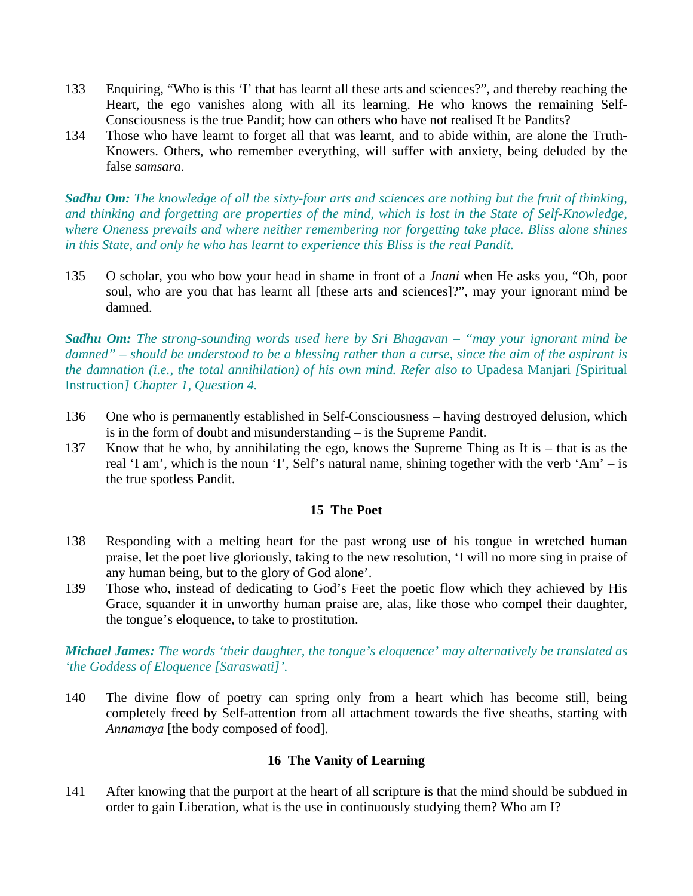- 133 Enquiring, "Who is this 'I' that has learnt all these arts and sciences?", and thereby reaching the Heart, the ego vanishes along with all its learning. He who knows the remaining Self-Consciousness is the true Pandit; how can others who have not realised It be Pandits?
- 134 Those who have learnt to forget all that was learnt, and to abide within, are alone the Truth-Knowers. Others, who remember everything, will suffer with anxiety, being deluded by the false *samsara*.

*Sadhu Om: The knowledge of all the sixty-four arts and sciences are nothing but the fruit of thinking, and thinking and forgetting are properties of the mind, which is lost in the State of Self-Knowledge, where Oneness prevails and where neither remembering nor forgetting take place. Bliss alone shines in this State, and only he who has learnt to experience this Bliss is the real Pandit.* 

135 O scholar, you who bow your head in shame in front of a *Jnani* when He asks you, "Oh, poor soul, who are you that has learnt all [these arts and sciences]?", may your ignorant mind be damned.

*Sadhu Om: The strong-sounding words used here by Sri Bhagavan – "may your ignorant mind be damned" – should be understood to be a blessing rather than a curse, since the aim of the aspirant is the damnation (i.e., the total annihilation) of his own mind. Refer also to* Upadesa Manjari *[*Spiritual Instruction*] Chapter 1, Question 4.* 

- 136 One who is permanently established in Self-Consciousness having destroyed delusion, which is in the form of doubt and misunderstanding – is the Supreme Pandit.
- 137 Know that he who, by annihilating the ego, knows the Supreme Thing as It is that is as the real 'I am', which is the noun 'I', Self's natural name, shining together with the verb 'Am' – is the true spotless Pandit.

# **15 The Poet**

- 138 Responding with a melting heart for the past wrong use of his tongue in wretched human praise, let the poet live gloriously, taking to the new resolution, 'I will no more sing in praise of any human being, but to the glory of God alone'.
- 139 Those who, instead of dedicating to God's Feet the poetic flow which they achieved by His Grace, squander it in unworthy human praise are, alas, like those who compel their daughter, the tongue's eloquence, to take to prostitution.

*Michael James: The words 'their daughter, the tongue's eloquence' may alternatively be translated as 'the Goddess of Eloquence [Saraswati]'.* 

140 The divine flow of poetry can spring only from a heart which has become still, being completely freed by Self-attention from all attachment towards the five sheaths, starting with *Annamaya* [the body composed of food].

# **16 The Vanity of Learning**

141 After knowing that the purport at the heart of all scripture is that the mind should be subdued in order to gain Liberation, what is the use in continuously studying them? Who am I?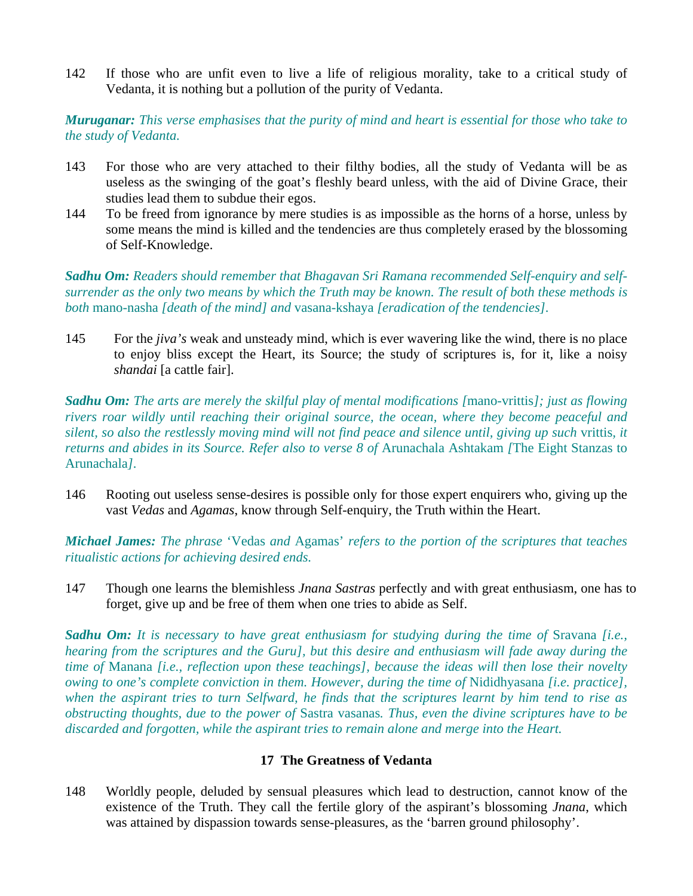142 If those who are unfit even to live a life of religious morality, take to a critical study of Vedanta, it is nothing but a pollution of the purity of Vedanta.

*Muruganar: This verse emphasises that the purity of mind and heart is essential for those who take to the study of Vedanta.* 

- 143 For those who are very attached to their filthy bodies, all the study of Vedanta will be as useless as the swinging of the goat's fleshly beard unless, with the aid of Divine Grace, their studies lead them to subdue their egos.
- 144 To be freed from ignorance by mere studies is as impossible as the horns of a horse, unless by some means the mind is killed and the tendencies are thus completely erased by the blossoming of Self-Knowledge.

*Sadhu Om: Readers should remember that Bhagavan Sri Ramana recommended Self-enquiry and selfsurrender as the only two means by which the Truth may be known. The result of both these methods is both* mano-nasha *[death of the mind] and* vasana-kshaya *[eradication of the tendencies].* 

145 For the *jiva's* weak and unsteady mind, which is ever wavering like the wind, there is no place to enjoy bliss except the Heart, its Source; the study of scriptures is, for it, like a noisy *shandai* [a cattle fair].

*Sadhu Om: The arts are merely the skilful play of mental modifications [*mano-vrittis*]; just as flowing rivers roar wildly until reaching their original source, the ocean, where they become peaceful and silent, so also the restlessly moving mind will not find peace and silence until, giving up such* vrittis*, it returns and abides in its Source. Refer also to verse 8 of* Arunachala Ashtakam *[*The Eight Stanzas to Arunachala*].* 

146 Rooting out useless sense-desires is possible only for those expert enquirers who, giving up the vast *Vedas* and *Agamas*, know through Self-enquiry, the Truth within the Heart.

*Michael James: The phrase* 'Vedas *and* Agamas' *refers to the portion of the scriptures that teaches ritualistic actions for achieving desired ends.* 

147 Though one learns the blemishless *Jnana Sastras* perfectly and with great enthusiasm, one has to forget, give up and be free of them when one tries to abide as Self.

**Sadhu Om:** It is necessary to have great enthusiasm for studying during the time of Sravana *[i.e., hearing from the scriptures and the Guru], but this desire and enthusiasm will fade away during the time of* Manana *[i.e., reflection upon these teachings], because the ideas will then lose their novelty owing to one's complete conviction in them. However, during the time of Nididhyasana [i.e. practice], when the aspirant tries to turn Selfward, he finds that the scriptures learnt by him tend to rise as obstructing thoughts, due to the power of* Sastra vasanas*. Thus, even the divine scriptures have to be discarded and forgotten, while the aspirant tries to remain alone and merge into the Heart.* 

# **17 The Greatness of Vedanta**

148 Worldly people, deluded by sensual pleasures which lead to destruction, cannot know of the existence of the Truth. They call the fertile glory of the aspirant's blossoming *Jnana*, which was attained by dispassion towards sense-pleasures, as the 'barren ground philosophy'.